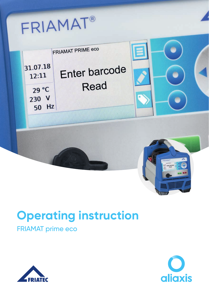# FRIAMAT®



## **Operating instruction**

## FRIAMAT prime eco



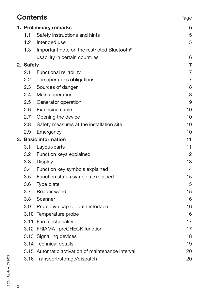| <b>Contents</b> |               |                                                   | Page           |
|-----------------|---------------|---------------------------------------------------|----------------|
|                 |               | 1. Preliminary remarks                            | 5              |
|                 | 1.1           | Safety instructions and hints                     | 5              |
|                 |               | 1.2 Intended use                                  | 5              |
|                 | 1.3           | Important note on the restricted Bluetooth®       |                |
|                 |               | usability in certain countries                    | 6              |
|                 | 2. Safety     |                                                   | $\overline{7}$ |
|                 | 2.1           | Functional reliability                            | $\overline{7}$ |
|                 | 2.2           | The operator's obligations                        | $\overline{7}$ |
|                 | 2.3           | Sources of danger                                 | 8              |
|                 | $2.4^{\circ}$ | Mains operation                                   | 8              |
|                 | $2.5\,$       | Generator operation                               | 9              |
|                 | 2.6           | <b>Extension cable</b>                            | 10             |
|                 | 2.7           | Opening the device                                | 10             |
|                 | 2.8           | Safety measures at the installation site          | 10             |
|                 | 2.9           | Emergency                                         | 10             |
|                 |               | 3. Basic information                              | 11             |
|                 | 3.1           | Layout/parts                                      | 11             |
|                 | 3.2           | Function keys explained                           | 12             |
|                 | 3.3           | Display                                           | 13             |
|                 | 3.4           | Function key symbols explained                    | 14             |
|                 | 3.5           | Function status symbols explained                 | 15             |
|                 | 3.6           | Type plate                                        | 15             |
|                 | 3.7           | Reader wand                                       | 15             |
|                 | 3.8           | Scanner                                           | 16             |
|                 | 3.9           | Protective cap for data interface                 | 16             |
|                 |               | 3.10 Temperature probe                            | 16             |
|                 |               | 3.11 Fan functionality                            | 17             |
|                 |               | 3.12 FRIAMAT preCHECK function                    | 17             |
|                 |               | 3.13 Signalling devices                           | 18             |
|                 |               | 3.14 Technical details                            | 19             |
|                 |               | 3.15 Automatic activation of maintenance interval | 20             |
|                 |               | 3.16 Transport/storage/dispatch                   | 20             |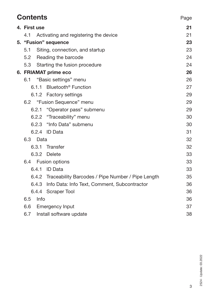| <b>Contents</b> |                                                   | Page |
|-----------------|---------------------------------------------------|------|
| 4. First use    |                                                   | 21   |
| 4.1             | Activating and registering the device             | 21   |
|                 | 5. "Fusion" sequence                              | 23   |
| 5.1             | Siting, connection, and startup                   | 23   |
|                 | 5.2 Reading the barcode                           | 24   |
| 5.3             | Starting the fusion procedure                     | 24   |
|                 | 6. FRIAMAT prime eco                              | 26   |
| 6.1             | "Basic settings" menu                             | 26   |
| 6.1.1           | Bluetooth <sup>®</sup> Function                   | 27   |
|                 | 6.1.2 Factory settings                            | 29   |
|                 | 6.2 "Fusion Sequence" menu                        | 29   |
| 6.2.1           | "Operator pass" submenu                           | 29   |
| 6.2.2           | "Traceability" menu                               | 30   |
|                 | 6.2.3 "Info Data" submenu                         | 30   |
|                 | 6.2.4 ID Data                                     | 31   |
| 6.3 Data        |                                                   | 32   |
| 6.3.1           | Transfer                                          | 32   |
|                 | 6.3.2 Delete                                      | 33   |
|                 | 6.4 Fusion options                                | 33   |
| 6.4.1           | <b>ID</b> Data                                    | 33   |
| 6.4.2           | Traceability Barcodes / Pipe Number / Pipe Length | 35   |
| 6.4.3           | Info Data: Info Text, Comment, Subcontractor      | 36   |
|                 | 6.4.4 Scraper Tool                                | 36   |
| Info<br>6.5     |                                                   | 36   |
| 6.6             | <b>Emergency Input</b>                            | 37   |
| 6.7             | Install software update                           | 38   |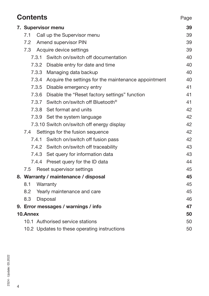|     | <b>Contents</b><br>Page                      |  |                                                            |    |  |
|-----|----------------------------------------------|--|------------------------------------------------------------|----|--|
|     | 7. Supervisor menu                           |  |                                                            | 39 |  |
| 7.1 |                                              |  | Call up the Supervisor menu                                | 39 |  |
|     |                                              |  | 7.2 Amend supervisor PIN                                   | 39 |  |
|     | 7.3                                          |  | Acquire device settings                                    | 39 |  |
|     |                                              |  | 7.3.1 Switch on/switch off documentation                   | 40 |  |
|     |                                              |  | 7.3.2 Disable entry for date and time                      | 40 |  |
|     |                                              |  | 7.3.3 Managing data backup                                 | 40 |  |
|     |                                              |  | 7.3.4 Acquire the settings for the maintenance appointment | 40 |  |
|     |                                              |  | 7.3.5 Disable emergency entry                              | 41 |  |
|     |                                              |  | 7.3.6 Disable the "Reset factory settings" function        | 41 |  |
|     |                                              |  | 7.3.7 Switch on/switch off Bluetooth <sup>®</sup>          | 41 |  |
|     |                                              |  | 7.3.8 Set format and units                                 | 42 |  |
|     |                                              |  | 7.3.9 Set the system language                              | 42 |  |
|     |                                              |  | 7.3.10 Switch on/switch off energy display                 | 42 |  |
|     |                                              |  | 7.4 Settings for the fusion sequence                       | 42 |  |
|     |                                              |  | 7.4.1 Switch on/switch off fusion pass                     | 42 |  |
|     |                                              |  | 7.4.2 Switch on/switch off traceability                    | 43 |  |
|     |                                              |  | 7.4.3 Set query for information data                       | 43 |  |
|     |                                              |  | 7.4.4 Preset query for the ID data                         | 44 |  |
|     | 7.5                                          |  | Reset supervisor settings                                  | 45 |  |
|     |                                              |  | 8. Warranty / maintenance / disposal                       | 45 |  |
|     | 8.1                                          |  | Warranty                                                   | 45 |  |
|     | 8.2                                          |  | Yearly maintenance and care                                | 45 |  |
|     | 8.3                                          |  | Disposal                                                   | 46 |  |
|     |                                              |  | 9. Error messages / warnings / info                        | 47 |  |
|     | 10.Annex                                     |  |                                                            | 50 |  |
|     |                                              |  | 10.1 Authorised service stations                           | 50 |  |
|     | 10.2 Updates to these operating instructions |  |                                                            |    |  |

4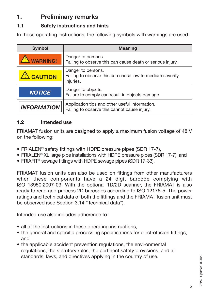## **1. Preliminary remarks**

## **1.1 Safety instructions and hints**

In these operating instructions, the following symbols with warnings are used:

| <b>Symbol</b>      | <b>Meaning</b>                                                                                 |
|--------------------|------------------------------------------------------------------------------------------------|
| <b>WARNING!</b>    | Danger to persons.<br>Failing to observe this can cause death or serious injury.               |
| <b>CAUTION</b>     | Danger to persons.<br>Failing to observe this can cause low to medium severity<br>injuries.    |
| <b>NOTICE</b>      | Danger to objects.<br>Failure to comply can result in objects damage.                          |
| <b>INFORMATION</b> | Application tips and other useful information.<br>Failing to observe this cannot cause injury. |

## **1.2 Intended use**

FRIAMAT fusion units are designed to apply a maximum fusion voltage of 48 V on the following:

- FRIALEN® safety fittings with HDPE pressure pipes (SDR 17-7),
- FRIALEN® XL large pipe installations with HDPE pressure pipes (SDR 17-7), and
- FRIAFIT® sewage fittings with HDPE sewage pipes (SDR 17-33).

FRIAMAT fusion units can also be used on fittings from other manufacturers when these components have a 24 digit barcode complying with ISO 13950:2007-03. With the optional 1D/2D scanner, the FRIAMAT is also ready to read and process 2D barcodes according to ISO 12176-5. The power ratings and technical data of both the fittings and the FRIAMAT fusion unit must be observed (see Section 3.14 "Technical data").

Intended use also includes adherence to:

- all of the instructions in these operating instructions,
- the general and specific processing specifications for electrofusion fittings, and
- the applicable accident prevention regulations, the environmental regulations, the statutory rules, the pertinent safety provisions, and all standards, laws, and directives applying in the country of use.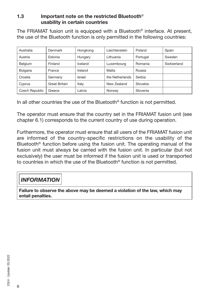#### **1.3 Important note on the restricted Bluetooth**® **usability in certain countries**

The FRIAMAT fusion unit is equipped with a Bluetooth<sup>®</sup> interface. At present, the use of the Bluetooth function is only permitted in the following countries:

| Australia       | Denmark       | Hongkong | Liechtenstein   | Poland   | Spain       |
|-----------------|---------------|----------|-----------------|----------|-------------|
| Austria         | Estonia       | Hungary  | Lithuania       | Portugal | Sweden      |
| Belgium         | Finland       | Iceland  | Luxembourg      | Romania  | Switzerland |
| <b>Bulgaria</b> | France        | Ireland  | Malta           | Russia   |             |
| Croatia         | Germany       | Israel   | the Netherlands | Serbia   |             |
| Cyprus          | Great Britain | Italy    | New Zealand     | Slovakia |             |
| Czech Republic  | Greece        | Latvia   | Norway          | Slovenia |             |

In all other countries the use of the Bluetooth® function is not permitted.

The operator must ensure that the country set in the FRIAMAT fusion unit (see chapter 6.1) corresponds to the current country of use during operation.

Furthermore, the operator must ensure that all users of the FRIAMAT fusion unit are informed of the country-specific restrictions on the usability of the Bluetooth® function before using the fusion unit. The operating manual of the fusion unit must always be carried with the fusion unit. In particular (but not exclusively) the user must be informed if the fusion unit is used or transported to countries in which the use of the Bluetooth® function is not permitted.

## *INFORMATION*

**Failure to observe the above may be deemed a violation of the law, which may entail penalties.**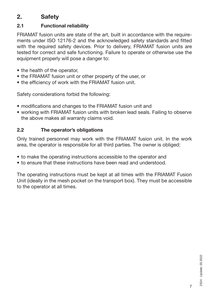## **2. Safety**

## **2.1 Functional reliability**

FRIAMAT fusion units are state of the art, built in accordance with the requirements under ISO 12176-2 and the acknowledged safety standards and fitted with the required safety devices. Prior to delivery, FRIAMAT fusion units are tested for correct and safe functioning. Failure to operate or otherwise use the equipment properly will pose a danger to:

- the health of the operator,
- the FRIAMAT fusion unit or other property of the user, or
- the efficiency of work with the FRIAMAT fusion unit.

Safety considerations forbid the following:

- modifications and changes to the FRIAMAT fusion unit and
- working with FRIAMAT fusion units with broken lead seals. Failing to observe the above makes all warranty claims void.

## **2.2 The operator's obligations**

Only trained personnel may work with the FRIAMAT fusion unit. In the work area, the operator is responsible for all third parties. The owner is obliged:

- to make the operating instructions accessible to the operator and
- to ensure that these instructions have been read and understood.

The operating instructions must be kept at all times with the FRIAMAT Fusion Unit (ideally in the mesh pocket on the transport box). They must be accessible to the operator at all times.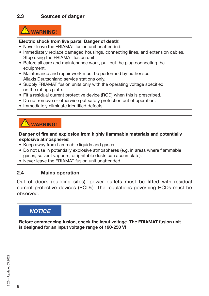## **WARNING!**

#### **Electric shock from live parts! Danger of death!**

- Never leave the FRIAMAT fusion unit unattended.
- Immediately replace damaged housings, connecting lines, and extension cables. Stop using the FRIAMAT fusion unit.
- Before all care and maintenance work, pull out the plug connecting the equipment.
- Maintenance and repair work must be performed by authorised Aliaxis Deutschland service stations only.
- Supply FRIAMAT fusion units only with the operating voltage specified on the ratings plate.
- Fit a residual current protective device (RCD) when this is prescribed.
- Do not remove or otherwise put safety protection out of operation.
- Immediately eliminate identified defects.

## **WARNING!**

**Danger of fire and explosion from highly flammable materials and potentially explosive atmospheres!**

- Keep away from flammable liquids and gases.
- Do not use in potentially explosive atmospheres (e.g. in areas where flammable gases, solvent vapours, or ignitable dusts can accumulate).
- Never leave the FRIAMAT fusion unit unattended.

## **2.4 Mains operation**

Out of doors (building sites), power outlets must be fitted with residual current protective devices (RCDs). The regulations governing RCDs must be observed.

## *NOTICE*

**Before commencing fusion, check the input voltage. The FRIAMAT fusion unit is designed for an input voltage range of 190-250 V!**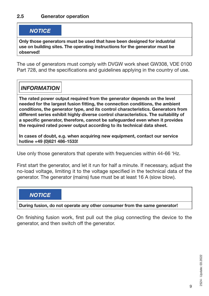## *NOTICE*

**Only those generators must be used that have been designed for industrial use on building sites. The operating instructions for the generator must be observed!**

The use of generators must comply with DVGW work sheet GW308, VDE 0100 Part 728, and the specifications and guidelines applying in the country of use.

## *INFORMATION*

**The rated power output required from the generator depends on the level needed for the largest fusion fitting, the connection conditions, the ambient conditions, the generator type, and its control characteristics. Generators from different series exhibit highly diverse control characteristics. The suitability of a specific generator, therefore, cannot be safeguarded even when it provides the required rated power output according to its technical data sheet.**

**In cases of doubt, e.g. when acquiring new equipment, contact our service hotline +49 (0)621 486-1533!**

Use only those generators that operate with frequencies within 44-66 'Hz.

First start the generator, and let it run for half a minute. If necessary, adjust the no-load voltage, limiting it to the voltage specified in the technical data of the generator. The generator (mains) fuse must be at least 16 A (slow blow).

## *NOTICE*

**During fusion, do not operate any other consumer from the same generator!**

On finishing fusion work, first pull out the plug connecting the device to the generator, and then switch off the generator.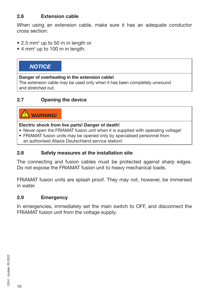## **2.6 Extension cable**

When using an extension cable, make sure it has an adequate conductor cross section:

- 2.5 mm<sup>2</sup> up to 50 m in length or
- 4 mm<sup>2</sup> up to 100 m in length.

## *NOTICE*

#### **Danger of overheating in the extension cable!**

The extension cable may be used only when it has been completely unwound and stretched out.

#### **2.7 Opening the device**

## **WARNING!**

#### **Electric shock from live parts! Danger of death!**

- Never open the FRIAMAT fusion unit when it is supplied with operating voltage!
- FRIAMAT fusion units may be opened only by specialised personnel from an authorised Aliaxis Deutschland service station!

#### **2.8 Safety measures at the installation site**

The connecting and fusion cables must be protected against sharp edges. Do not expose the FRIAMAT fusion unit to heavy mechanical loads.

FRIAMAT fusion units are splash proof. They may not, however, be immersed in water.

#### **2.9 Emergency**

In emergencies, immediately set the main switch to OFF, and disconnect the FRIAMAT fusion unit from the voltage supply.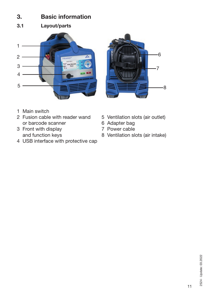## **3. Basic information**

**3.1 Layout/parts**





- 1 Main switch
- 2 Fusion cable with reader wand 5 Ventilation slots (air outlet)<br>or barcode scanner 6 Adapter bag or barcode scanner<br>
Front with display<br>
Front with display<br>
T Power cable
- 3 Front with display
- 4 USB interface with protective cap
- 
- 
- 
- and function keys 8 Ventilation slots (air intake)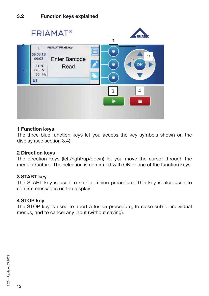

#### **1 Function keys**

The three blue function keys let you access the key symbols shown on the display (see section 3.4).

#### **2 Direction keys**

The direction keys (left/right/up/down) let you move the cursor through the menu structure. The selection is confirmed with OK or one of the function keys.

#### **3 START key**

The START key is used to start a fusion procedure. This key is also used to confirm messages on the display.

#### **4 STOP key**

The STOP key is used to abort a fusion procedure, to close sub or individual menus, and to cancel any input (without saving).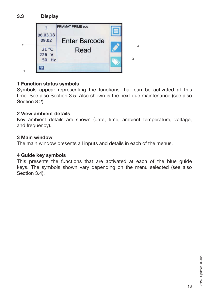

## **1 Function status symbols**

Symbols appear representing the functions that can be activated at this time. See also Section 3.5. Also shown is the next due maintenance (see also Section 8.2).

#### **2 View ambient details**

Key ambient details are shown (date, time, ambient temperature, voltage, and frequency).

#### **3 Main window**

The main window presents all inputs and details in each of the menus.

#### **4 Guide key symbols**

This presents the functions that are activated at each of the blue guide keys. The symbols shown vary depending on the menu selected (see also Section 3.4).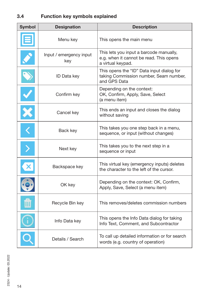## **3.4 Function key symbols explained**

| <b>Symbol</b>         | <b>Designation</b>             | <b>Description</b>                                                                                      |
|-----------------------|--------------------------------|---------------------------------------------------------------------------------------------------------|
|                       | Menu key                       | This opens the main menu                                                                                |
|                       | Input / emergency input<br>key | This lets you input a barcode manually,<br>e.g. when it cannot be read. This opens<br>a virtual keypad. |
| Ž                     | <b>ID Data key</b>             | This opens the "ID" Data input dialog for<br>taking Commission number, Seam number,<br>and GPS Data     |
| $\blacktriangledown$  | Confirm key                    | Depending on the context:<br>OK, Confirm, Apply, Save, Select<br>(a menu item)                          |
| ×                     | Cancel key                     | This ends an input and closes the dialog<br>without saving                                              |
| $\overline{\langle}$  | Back key                       | This takes you one step back in a menu,<br>sequence, or input (without changes)                         |
| $\bm{\triangleright}$ | Next key                       | This takes you to the next step in a<br>sequence or input                                               |
|                       | Backspace key                  | This virtual key (emergency inputs) deletes<br>the character to the left of the cursor.                 |
| $\ddot{\bullet}$      | OK key                         | Depending on the context: OK, Confirm,<br>Apply, Save, Select (a menu item)                             |
|                       | Recycle Bin key                | This removes/deletes commission numbers                                                                 |
|                       | Info Data key                  | This opens the Info Data dialog for taking<br>Info Text, Comment, and Subcontractor                     |
|                       | Details / Search               | To call up detailed information or for search<br>words (e.g. country of operation)                      |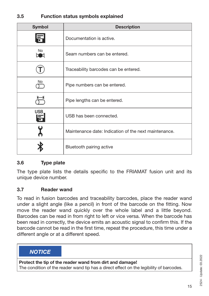## **3.5 Function status symbols explained**

| <b>Symbol</b>   | <b>Description</b>                                    |
|-----------------|-------------------------------------------------------|
| ħ               | Documentation is active.                              |
| No<br>5 C       | Seam numbers can be entered.                          |
|                 | Traceability barcodes can be entered.                 |
| No              | Pipe numbers can be entered.                          |
|                 | Pipe lengths can be entered.                          |
| <b>USB</b><br>譶 | USB has been connected.                               |
|                 | Maintenance date: Indication of the next maintenance. |
|                 | Bluetooth pairing active                              |

#### **3.6 Type plate**

The type plate lists the details specific to the FRIAMAT fusion unit and its unique device number.

#### **3.7 Reader wand**

To read in fusion barcodes and traceability barcodes, place the reader wand under a slight angle (like a pencil) in front of the barcode on the fitting. Now move the reader wand quickly over the whole label and a little beyond. Barcodes can be read in from right to left or vice versa. When the barcode has been read in correctly, the device emits an acoustic signal to confirm this. If the barcode cannot be read in the first time, repeat the procedure, this time under a different angle or at a different speed.

## *NOTICE*

**Protect the tip of the reader wand from dirt and damage!**

The condition of the reader wand tip has a direct effect on the legibility of barcodes.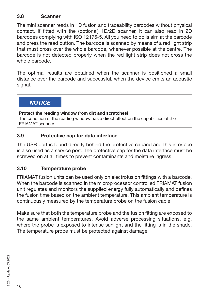## **3.8 Scanner**

The mini scanner reads in 1D fusion and traceability barcodes without physical contact. If fitted with the (optional) 1D/2D scanner, it can also read in 2D barcodes complying with ISO 12176-5. All you need to do is aim at the barcode and press the read button. The barcode is scanned by means of a red light strip that must cross over the whole barcode, whenever possible at the centre. The barcode is not detected properly when the red light strip does not cross the whole barcode.

The optimal results are obtained when the scanner is positioned a small distance over the barcode and successful, when the device emits an acoustic signal.

*NOTICE*

**Protect the reading window from dirt and scratches!** The condition of the reading window has a direct effect on the capabilities of the FRIAMAT scanner.

## **3.9 Protective cap for data interface**

The USB port is found directly behind the protective capand and this interface is also used as a service port. The protective cap for the data interface must be screwed on at all times to prevent contaminants and moisture ingress.

#### **3.10 Temperature probe**

FRIAMAT fusion units can be used only on electrofusion fittings with a barcode. When the barcode is scanned in the microprocessor controlled FRIAMAT fusion unit regulates and monitors the supplied energy fully automatically and defines the fusion time based on the ambient temperature. This ambient temperature is continuously measured by the temperature probe on the fusion cable.

Make sure that both the temperature probe and the fusion fitting are exposed to the same ambient temperatures. Avoid adverse processing situations, e.g. where the probe is exposed to intense sunlight and the fitting is in the shade. The temperature probe must be protected against damage.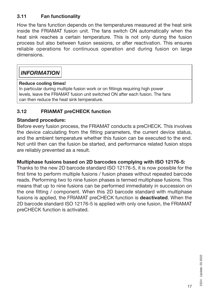## **3.11 Fan functionality**

How the fans function depends on the temperatures measured at the heat sink inside the FRIAMAT fusion unit. The fans switch ON automatically when the heat sink reaches a certain temperature. This is not only during the fusion process but also between fusion sessions, or after reactivation. This ensures reliable operations for continuous operation and during fusion on large dimensions.

## *INFORMATION*

#### **Reduce cooling times!**

In particular during multiple fusion work or on fittings requiring high power levels, leave the FRIAMAT fusion unit switched ON after each fusion. The fans can then reduce the heat sink temperature.

## **3.12 FRIAMAT preCHECK function**

#### **Standard procedure:**

Before every fusion process, the FRIAMAT conducts a preCHECK. This involves the device calculating from the fitting parameters, the current device status, and the ambient temperature whether this fusion can be executed to the end. Not until then can the fusion be started, and performance related fusion stops are reliably prevented as a result.

#### **Multiphase fusions based on 2D barcodes complying with ISO 12176-5:**

Thanks to the new 2D barcode standard ISO 12176-5, it is now possible for the first time to perform multiple fusions / fusion phases without repeated barcode reads. Performing two to nine fusion phases is termed multiphase fusions. This means that up to nine fusions can be performed immediately in succession on the one fitting / component. When this 2D barcode standard with multiphase fusions is applied, the FRIAMAT preCHECK function is **deactivated**. When the 2D barcode standard ISO 12176-5 is applied with only one fusion, the FRIAMAT preCHECK function is activated.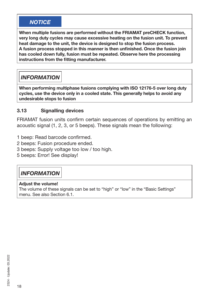## *NOTICE*

**When multiple fusions are performed without the FRIAMAT preCHECK function, very long duty cycles may cause excessive heating on the fusion unit. To prevent heat damage to the unit, the device is designed to stop the fusion process. A fusion process stopped in this manner is then unfinished. Once the fusion join has cooled down fully, fusion must be repeated. Observe here the processing instructions from the fitting manufacturer.**

## *INFORMATION*

**When performing multiphase fusions complying with ISO 12176-5 over long duty cycles, use the device only in a cooled state. This generally helps to avoid any undesirable stops to fusion**

#### **3.13 Signalling devices**

FRIAMAT fusion units confirm certain sequences of operations by emitting an acoustic signal (1, 2, 3, or 5 beeps). These signals mean the following:

- 1 beep: Read barcode confirmed.
- 2 beeps: Fusion procedure ended.
- 3 beeps: Supply voltage too low / too high.
- 5 beeps: Error! See display!

## *INFORMATION*

#### **Adjust the volume!**

The volume of these signals can be set to "high" or "low" in the "Basic Settings" menu. See also Section 6.1.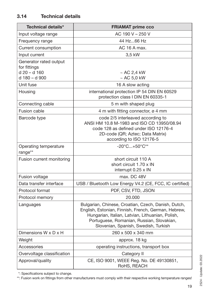| <b>Technical details*</b>                                                 | <b>FRIAMAT prime cco</b>                                                                                                                                                                                                                            |
|---------------------------------------------------------------------------|-----------------------------------------------------------------------------------------------------------------------------------------------------------------------------------------------------------------------------------------------------|
| Input voltage range                                                       | AC 190 V - 250 V                                                                                                                                                                                                                                    |
| Frequency range                                                           | 44 Hz66 Hz                                                                                                                                                                                                                                          |
| Current consumption                                                       | AC 16 A max.                                                                                                                                                                                                                                        |
| Input current                                                             | 3,5 kW                                                                                                                                                                                                                                              |
| Generator rated output<br>for fittings<br>$d 20 - d 160$<br>d 180 - d 900 | $\sim$ AC 2,4 kW<br>$~\sim$ AC 5,0 kW                                                                                                                                                                                                               |
| Unit fuse                                                                 | 16 A slow acting                                                                                                                                                                                                                                    |
| Housing                                                                   | international protection IP 54 DIN EN 60529<br>protection class I DIN EN 60335-1                                                                                                                                                                    |
| Connecting cable                                                          | 5 m with shaped plug                                                                                                                                                                                                                                |
| Fusion cable                                                              | 4 m with fitting connector, ø 4 mm                                                                                                                                                                                                                  |
| Barcode type                                                              | code 2/5 interleaved according to<br>ANSI HM 10.8 M-1983 and ISO CD 13950/08.94<br>code 128 as defined under ISO 12176-4<br>2D-code (QR; Aztec; Data Matrix)<br>according to ISO 12176-5                                                            |
| Operating temperature<br>range**                                          | $-20^{\circ}$ C $+50^{\circ}$ C**                                                                                                                                                                                                                   |
| Fusion current monitoring                                                 | short circuit 110 A<br>short circuit 1.70 x IN<br>interrupt 0.25 x IN                                                                                                                                                                               |
| Fusion voltage                                                            | max. DC 48V                                                                                                                                                                                                                                         |
| Data transfer interface                                                   | USB / Bluetooth Low Energy V4.2 (CE, FCC, IC certified)                                                                                                                                                                                             |
| Protocol format                                                           | PDF, CSV, FTD, JSON                                                                                                                                                                                                                                 |
| Protocol memory                                                           | 20.000                                                                                                                                                                                                                                              |
| Languages                                                                 | Bulgarian, Chinese, Croatian, Czech, Danish, Dutch,<br>English, Estonian, Finnish, French, German, Hebrew,<br>Hungarian, Italian, Latvian, Lithuanian, Polish,<br>Portuguese, Romanian, Russian, Slovakian,<br>Slovenian, Spanish, Swedish, Turkish |
| Dimensions W x D x H                                                      | 260 x 500 x 340 mm                                                                                                                                                                                                                                  |
| Weight                                                                    | approx. 18 kg                                                                                                                                                                                                                                       |
| Accessories                                                               | operating instructions, transport box                                                                                                                                                                                                               |
| Overvoltage classification                                                | Category II                                                                                                                                                                                                                                         |
| Approval/quality                                                          | CE, ISO 9001, WEEE Reg. No. DE 49130851,<br>RoHS, REACH                                                                                                                                                                                             |

\*: Specifications subject to change.

\*\*: Fusion work on fittings from other manufacturers must comply with their respective working temperature ranges!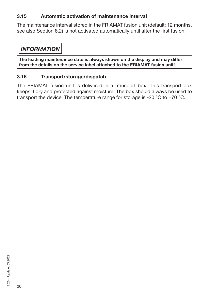## **3.15 Automatic activation of maintenance interval**

The maintenance interval stored in the FRIAMAT fusion unit (default: 12 months, see also Section 8.2) is not activated automatically until after the first fusion.

## *INFORMATION*

**The leading maintenance date is always shown on the display and may differ from the details on the service label attached to the FRIAMAT fusion unit!**

## **3.16 Transport/storage/dispatch**

The FRIAMAT fusion unit is delivered in a transport box. This transport box keeps it dry and protected against moisture. The box should always be used to transport the device. The temperature range for storage is -20 °C to +70 °C.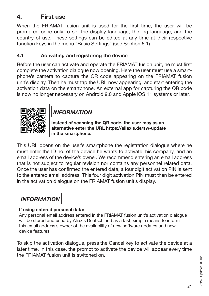## **4. First use**

When the FRIAMAT fusion unit is used for the first time, the user will be prompted once only to set the display language, the log language, and the country of use. These settings can be edited at any time at their respective function keys in the menu "Basic Settings" (see Section 6.1).

## **4.1 Activating and registering the device**

Before the user can activate and operate the FRIAMAT fusion unit, he must first complete the activation dialogue now opening. Here the user must use a smartphone's camera to capture the QR code appearing on the FRIAMAT fusion unit's display. Then he must tap the URL now appearing, and start entering the activation data on the smartphone. An external app for capturing the QR code is now no longer necessary on Android 9.0 and Apple iOS 11 systems or later.



*INFORMATION*

**Instead of scanning the QR code, the user may as an alternative enter the URL https://aliaxis.de/sw-update in the smartphone.**

This URL opens on the user's smartphone the registration dialogue where he must enter the ID no. of the device he wants to activate, his company, and an email address of the device's owner. We recommend entering an email address that is not subject to regular revision nor contains any personnel related data. Once the user has confirmed the entered data, a four digit activation PIN is sent to the entered email address. This four digit activation PIN must then be entered in the activation dialogue on the FRIAMAT fusion unit's display.

## *INFORMATION*

#### **If using entered personal data:**

Any personal email address entered in the FRIAMAT fusion unit's activation dialogue will be stored and used by Aliaxis Deutschland as a fast, simple means to inform this email address's owner of the availability of new software updates and new device features

To skip the activation dialogue, press the Cancel key to activate the device at a later time. In this case, the prompt to activate the device will appear every time the FRIAMAT fusion unit is switched on.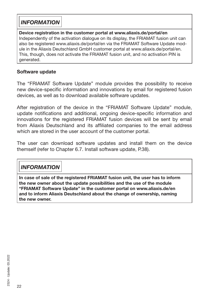## *INFORMATION*

#### **Device registration in the customer portal at www.aliaxis.de/portal/en** Independently of the activation dialogue on its display, the FRIAMAT fusion unit can also be registered www.aliaxis.de/portal/en via the FRIAMAT Software Update module in the Aliaxis Deutschland GmbH customer portal at www.aliaxis.de/portal/en. This, though, does not activate the FRIAMAT fusion unit, and no activation PIN is generated.

## **Software update**

The "FRIAMAT Software Update" module provides the possibility to receive new device-specific information and innovations by email for registered fusion devices, as well as to download available software updates.

After registration of the device in the "FRIAMAT Software Update" module, update notifications and additional, ongoing device-specific information and innovations for the registered FRIAMAT fusion devices will be sent by email from Aliaxis Deutschland and its affiliated companies to the email address which are stored in the user account of the customer portal.

The user can download software updates and install them on the device themself (refer to Chapter 6.7. Install software update, P.38).

## *INFORMATION*

**In case of sale of the registered FRIAMAT fusion unit, the user has to inform the new owner about the update possibilities and the use of the module "FRIAMAT Software Update" in the customer portal on www.aliaxis.de/en and to inform Aliaxis Deutschland about the change of ownership, naming the new owner.**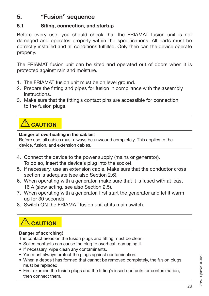## **5. "Fusion" sequence**

## **5.1 Siting, connection, and startup**

Before every use, you should check that the FRIAMAT fusion unit is not damaged and operates properly within the specifications. All parts must be correctly installed and all conditions fulfilled. Only then can the device operate properly.

The FRIAMAT fusion unit can be sited and operated out of doors when it is protected against rain and moisture.

- 1. The FRIAMAT fusion unit must be on level ground.
- 2. Prepare the fitting and pipes for fusion in compliance with the assembly instructions.
- 3. Make sure that the fitting's contact pins are accessible for connection to the fusion plugs.

## **CAUTION**

#### **Danger of overheating in the cables!**

Before use, all cables must always be unwound completely. This applies to the device, fusion, and extension cables.

- 4. Connect the device to the power supply (mains or generator). To do so, insert the device's plug into the socket.
- 5. If necessary, use an extension cable. Make sure that the conductor cross section is adequate (see also Section 2.6).
- 6. When operating with a generator, make sure that it is fused with at least 16 A (slow acting, see also Section 2.5).
- 7. When operating with a generator, first start the generator and let it warm up for 30 seconds.
- 8. Switch ON the FRIAMAT fusion unit at its main switch.

## **AUTION**

#### **Danger of scorching!**

The contact areas on the fusion plugs and fitting must be clean.

- Soiled contacts can cause the plug to overheat, damaging it.
- If necessary, wipe clean any contaminants.
- You must always protect the plugs against contamination.
- When a deposit has formed that cannot be removed completely, the fusion plugs must be replaced.
- First examine the fusion plugs and the fitting's insert contacts for contamination, then connect them.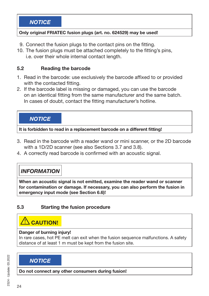#### **Only original FRIATEC fusion plugs (art. no. 624529) may be used!**

- 9. Connect the fusion plugs to the contact pins on the fitting.
- 10. The fusion plugs must be attached completely to the fitting's pins, i.e. over their whole internal contact length.

## **5.2 Reading the barcode**

- 1. Read in the barcode: use exclusively the barcode affixed to or provided with the contacted fitting.
- 2. If the barcode label is missing or damaged, you can use the barcode on an identical fitting from the same manufacturer and the same batch. In cases of doubt, contact the fitting manufacturer's hotline.

*NOTICE*

**It is forbidden to read in a replacement barcode on a different fitting!**

- 3. Read in the barcode with a reader wand or mini scanner, or the 2D barcode with a 1D/2D scanner (see also Sections 3.7 and 3.8).
- 4. A correctly read barcode is confirmed with an acoustic signal.

## *INFORMATION*

**When an acoustic signal is not emitted, examine the reader wand or scanner for contamination or damage. If necessary, you can also perform the fusion in emergency input mode (see Section 6.6)!**

## **5.3 Starting the fusion procedure**

## **CAUTION!**

#### **Danger of burning injury!**

In rare cases, hot PE melt can exit when the fusion sequence malfunctions. A safety distance of at least 1 m must be kept from the fusion site.

## *NOTICE*

**Do not connect any other consumers during fusion!**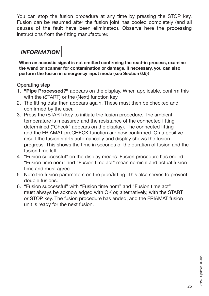You can stop the fusion procedure at any time by pressing the STOP key. Fusion can be resumed after the fusion joint has cooled completely (and all causes of the fault have been eliminated). Observe here the processing instructions from the fitting manufacturer.

## *INFORMATION*

**When an acoustic signal is not emitted confirming the read-in process, examine the wand or scanner for contamination or damage. If necessary, you can also perform the fusion in emergency input mode (see Section 6.6)!**

Operating step

- 1. **"Pipe Processed?"** appears on the display. When applicable, confirm this with the (START) or the (Next) function key.
- 2. The fitting data then appears again. These must then be checked and confirmed by the user.
- 3. Press the (START) key to initiate the fusion procedure. The ambient temperature is measured and the resistance of the connected fitting determined ("Check" appears on the display). The connected fitting and the FRIAMAT preCHECK function are now confirmed. On a positive result the fusion starts automatically and display shows the fusion progress. This shows the time in seconds of the duration of fusion and the fusion time left.
- 4. "Fusion successful" on the display means: Fusion procedure has ended. "Fusion time nom" and "Fusion time act" mean nominal and actual fusion time and must agree.
- 5. Note the fusion parameters on the pipe/fitting. This also serves to prevent double fusions.
- 6. "Fusion successful" with "Fusion time nom" and "Fusion time act" must always be acknowledged with OK or, alternatively, with the START or STOP key. The fusion procedure has ended, and the FRIAMAT fusion unit is ready for the next fusion.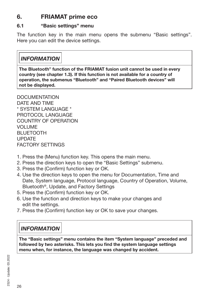## **6. FRIAMAT prime eco**

## **6.1 "Basic settings" menu**

The function key in the main menu opens the submenu "Basic settings". Here you can edit the device settings.

## *INFORMATION*

**The Bluetooth**® **function of the FRIAMAT fusion unit cannot be used in every country (see chapter 1.3). If this function is not available for a country of operation, the submenus "Bluetooth" and "Paired Bluetooth devices" will not be displayed.**

DOCUMENTATION DATE AND TIME \* SYSTEM LANGUAGE \* PROTOCOL LANGUAGE COUNTRY OF OPERATION VOLUME BLUETOOTH UPDATE FACTORY SETTINGS

- 1. Press the (Menu) function key. This opens the main menu.
- 2. Press the direction keys to open the "Basic Settings" submenu.
- 3. Press the (Confirm) function key or OK.
- 4. Use the direction keys to open the menu for Documentation, Time and Date, System language, Protocol language, Country of Operation, Volume, Bluetooth®, Update, and Factory Settings
- 5. Press the (Confirm) function key or OK.
- 6. Use the function and direction keys to make your changes and edit the settings.
- 7. Press the (Confirm) function key or OK to save your changes.

## *INFORMATION*

**The "Basic settings" menu contains the item "System language" preceded and followed by two asterisks. This lets you find the system language settings menu when, for instance, the language was changed by accident.**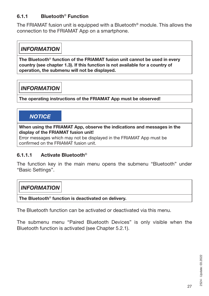## **6.1.1 Bluetooth**® **Function**

The FRIAMAT fusion unit is equipped with a Bluetooth® module. This allows the connection to the FRIAMAT App on a smartphone.

## *INFORMATION*

**The Bluetooth**® **function of the FRIAMAT fusion unit cannot be used in every country (see chapter 1.3). If this function is not available for a country of operation, the submenu will not be displayed.**

## *INFORMATION*

**The operating instructions of the FRIAMAT App must be observed!**

## *NOTICE*

**When using the FRIAMAT App, observe the indications and messages in the display of the FRIAMAT fusion unit!** 

Error messages which may not be displayed in the FRIAMAT App must be confirmed on the FRIAMAT fusion unit.

#### **6.1.1.1 Activate Bluetooth**®

The function key in the main menu opens the submenu "Bluetooth" under "Basic Settings".

## *INFORMATION*

**The Bluetooth**® **function is deactivated on delivery.**

The Bluetooth function can be activated or deactivated via this menu.

The submenu menu "Paired Bluetooth Devices" is only visible when the Bluetooth function is activated (see Chapter 5.2.1).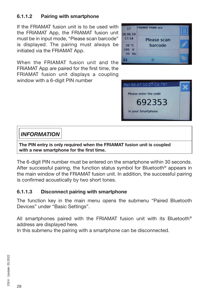## **6.1.1.2 Pairing with smartphone**

If the FRIAMAT fusion unit is to be used with the FRIAMAT App, the FRIAMAT fusion unit must be in input mode, "Please scan barcode" is displayed. The pairing must always be initiated via the FRIAMAT App.



When the FRIAMAT fusion unit and the FRIAMAT App are paired for the first time, the FRIAMAT fusion unit displays a coupling window with a 6-digit PIN number



## *INFORMATION*

**The PIN entry is only required when the FRIAMAT fusion unit is coupled with a new smartphone for the first time.**

The 6-digit PIN number must be entered on the smartphone within 30 seconds. After successful pairing, the function status symbol for Bluetooth® appears in the main window of the FRIAMAT fusion unit. In addition, the successful pairing is confirmed acoustically by two short tones.

## **6.1.1.3 Disconnect pairing with smartphone**

The function key in the main menu opens the submenu "Paired Bluetooth Devices" under "Basic Settings".

All smartphones paired with the FRIAMAT fusion unit with its Bluetooth® address are displayed here.

In this submenu the pairing with a smartphone can be disconnected.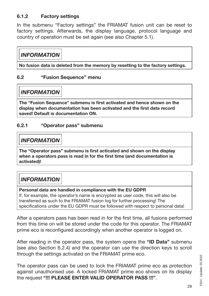## **6.1.2 Factory settings**

In the submenu "Factory settings" the FRIAMAT fusion unit can be reset to factory settings. Afterwards, the display language, protocol language and country of operation must be set again (see also Chapter 5.1).

## *INFORMATION*

**No fusion data is deleted from the memory by resetting to the factory settings.**

## **6.2 "Fusion Sequence" menu**

*INFORMATION*

**The "Fusion Sequence" submenu is first activated and hence shown on the display when documentation has been activated and the first data record saved! Default is documentation ON.**

#### **6.2.1 "Operator pass" submenu**

## *INFORMATION*

**The "Operator pass" submenu is first acticated and shown on the display when a operators pass is read in for the first time (and documentation is activated)!**

## *INFORMATION*

#### **Personal data are handled in compliance with the EU GDPR**

If, for example, the operator's name is encrypted as user code, this will also be transferred as such to the FRIAMAT fusion log for further processing! The specifications under the EU GDPR must be followed with respect to personal data!

After a operators pass has been read in for the first time, all fusions performed from this time on will be stored under the code for this operator. The FRIAMAT prime eco is reconfigured accordingly when another operator is logged on.

After reading in the operator pass, the system opens the **"ID Data"** submenu (see also Section 6.2.4) and the operator can use the direction keys to scroll through the settings activated on the FRIAMAT prime eco.

The operator pass can be used to lock the FRIAMAT prime eco as protection against unauthorised use. A locked FRIAMAT prime eco shows on its display the request **"!!! PLEASE ENTER VALID OPERATOR PASS !!!"**.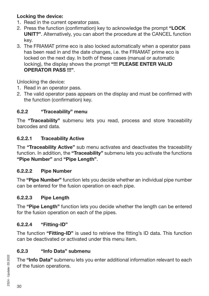## **Locking the device:**

- 1. Read in the current operator pass.
- 2. Press the function (confirmation) key to acknowledge the prompt **"LOCK UNIT?"**. Alternatively, you can abort the procedure at the CANCEL function key.
- 3. The FRIAMAT prime eco is also locked automatically when a operator pass has been read in and the date changes, i.e. the FRIAMAT prime eco is locked on the next day. In both of these cases (manual or automatic locking), the display shows the prompt **"!!! PLEASE ENTER VALID OPERATOR PASS !!!"**.

Unlocking the device:

- 1. Read in an operator pass.
- 2. The valid operator pass appears on the display and must be confirmed with the function (confirmation) key.

## **6.2.2 "Traceability" menu**

The **"Traceability"** submenu lets you read, process and store traceability barcodes and data.

## **6.2.2.1 Traceability Active**

The **"Traceability Active"** sub menu activates and deactivates the traceability function. In addition, the **"Traceability"** submenu lets you activate the functions **"Pipe Number"** and **"Pipe Length"**.

## **6.2.2.2 Pipe Number**

The **"Pipe Number"** function lets you decide whether an individual pipe number can be entered for the fusion operation on each pipe.

## **6.2.2.3 Pipe Length**

The **"Pipe Length"** function lets you decide whether the length can be entered for the fusion operation on each of the pipes.

## **6.2.2.4 "Fitting-ID"**

The function **"Fitting-ID"** is used to retrieve the fitting's ID data. This function can be deactivated or activated under this menu item.

## **6.2.3 "Info Data" submenu**

The **"Info Data"** submenu lets you enter additional information relevant to each of the fusion operations.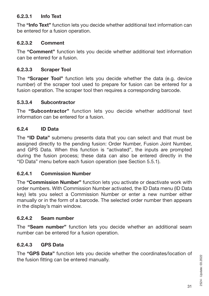#### **6.2.3.1 Info Text**

The **"Info Text"** function lets you decide whether additional text information can be entered for a fusion operation.

#### **6.2.3.2 Comment**

The **"Comment"** function lets you decide whether additional text information can be entered for a fusion.

#### **6.2.3.3 Scraper Tool**

The **"Scraper Tool"** function lets you decide whether the data (e.g. device number) of the scraper tool used to prepare for fusion can be entered for a fusion operation. The scraper tool then requires a corresponding barcode.

#### **5.3.3.4 Subcontractor**

The **"Subcontractor"** function lets you decide whether additional text information can be entered for a fusion.

#### **6.2.4 ID Data**

The **"ID Data"** submenu presents data that you can select and that must be assigned directly to the pending fusion: Order Number, Fusion Joint Number, and GPS Data. When this function is "activated", the inputs are prompted during the fusion process; these data can also be entered directly in the "ID Data" menu before each fusion operation (see Section 5.5.1).

#### **6.2.4.1 Commission Number**

The **"Commission Number"** function lets you activate or deactivate work with order numbers. With Commission Number activated, the ID Data menu (ID Data key) lets you select a Commission Number or enter a new number either manually or in the form of a barcode. The selected order number then appears in the display's main window.

#### **6.2.4.2 Seam number**

The **"Seam number"** function lets you decide whether an additional seam number can be entered for a fusion operation.

#### **6.2.4.3 GPS Data**

The **"GPS Data"** function lets you decide whether the coordinates/location of the fusion fitting can be entered manually.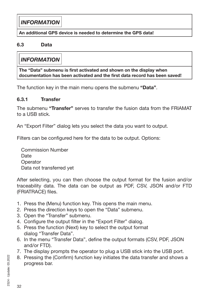## *INFORMATION*

#### **An additional GPS device is needed to determine the GPS data!**

#### **6.3 Data**

## *INFORMATION*

**The "Data" submenu is first activated and shown on the display when documentation has been activated and the first data record has been saved!**

The function key in the main menu opens the submenu **"Data"**.

#### **6.3.1 Transfer**

The submenu **"Transfer"** serves to transfer the fusion data from the FRIAMAT to a USB stick.

An "Export Filter" dialog lets you select the data you want to output.

Filters can be configured here for the data to be output. Options:

Commission Number **Date Operator** Data not transferred yet

After selecting, you can then choose the output format for the fusion and/or traceability data. The data can be output as PDF, CSV, JSON and/or FTD (FRIATRACE) files.

- 1. Press the (Menu) function key. This opens the main menu.
- 2. Press the direction keys to open the "Data" submenu.
- 3. Open the "Transfer" submenu.
- 4. Configure the output filter in the "Export Filter" dialog.
- 5. Press the function (Next) key to select the output format dialog "Transfer Data".
- 6. In the menu "Transfer Data", define the output formats (CSV, PDF, JSON and/or FTD).
- 7. The display prompts the operator to plug a USB stick into the USB port.
- 8. Pressing the (Confirm) function key initiates the data transfer and shows a progress bar.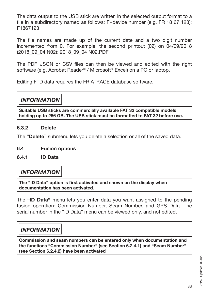The data output to the USB stick are written in the selected output format to a file in a subdirectory named as follows: F+device number (e.g. FR 18 67 123): F1867123

The file names are made up of the current date and a two digit number incremented from 0. For example, the second printout (02) on 04/09/2018 (2018\_09\_04 N02): 2018\_09\_04 N02.PDF

The PDF, JSON or CSV files can then be viewed and edited with the right software (e.g. Acrobat Reader<sup>®</sup> / Microsoft<sup>®</sup> Excel) on a PC or laptop.

Editing FTD data requires the FRIATRACE database software.

## *INFORMATION*

**Suitable USB sticks are commercially available FAT 32 compatible models holding up to 256 GB. The USB stick must be formatted to FAT 32 before use.**

#### **6.3.2 Delete**

The **"Delete"** submenu lets you delete a selection or all of the saved data.

#### **6.4 Fusion options**

#### **6.4.1 ID Data**

## *INFORMATION*

**The "ID Data" option is first activated and shown on the display when documentation has been activated.**

The **"ID Data"** menu lets you enter data you want assigned to the pending fusion operation: Commission Number, Seam Number, and GPS Data. The serial number in the "ID Data" menu can be viewed only, and not edited.

## *INFORMATION*

**Commission and seam numbers can be entered only when documentation and the functions "Commission Number" (see Section 6.2.4.1) and "Seam Number" (see Section 6.2.4.2) have been activated**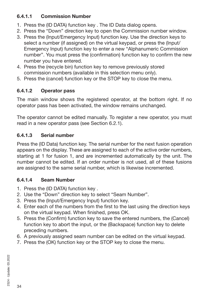## **6.4.1.1 Commission Number**

- 1. Press the (ID DATA) function key . The ID Data dialog opens.
- 2. Press the "Down" direction key to open the Commission number window.
- 3. Press the (Input/Emergency Input) function key. Use the direction keys to select a number (if assigned) on the virtual keypad, or press the (Input/ Emergency Input) function key to enter a new "Alphanumeric Commission number". You must press the (confirmation) function key to confirm the new number you have entered.
- 4. Press the (recycle bin) function key to remove previously stored commission numbers (available in this selection menu only).
- 5. Press the (cancel) function key or the STOP key to close the menu.

## **6.4.1.2 Operator pass**

The main window shows the registered operator, at the bottom right. If no operator pass has been activated, the window remains unchanged.

The operator cannot be edited manually. To register a new operator, you must read in a new operator pass (see Section 6.2.1).

## **6.4.1.3 Serial number**

Press the (ID Data) function key. The serial number for the next fusion operation appears on the display. These are assigned to each of the active order numbers, starting at 1 for fusion 1, and are incremented automatically by the unit. The number cannot be edited. If an order number is not used, all of these fusions are assigned to the same serial number, which is likewise incremented.

## **6.4.1.4 Seam Number**

- 1. Press the (ID DATA) function key .
- 2. Use the "Down" direction key to select "Seam Number".
- 3. Press the (Input/Emergency Input) function key.
- 4. Enter each of the numbers from the first to the last using the direction keys on the virtual keypad. When finished, press OK.
- 5. Press the (Confirm) function key to save the entered numbers, the (Cancel) function key to abort the input, or the (Backspace) function key to delete preceding numbers.
- 6. A previously assigned seam number can be edited on the virtual keypad.
- 7. Press the (OK) function key or the STOP key to close the menu.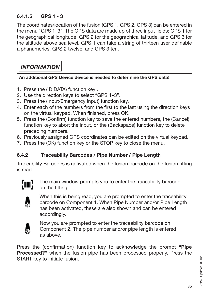## **6.4.1.5 GPS 1 - 3**

The coordinates/location of the fusion (GPS 1, GPS 2, GPS 3) can be entered in the menu "GPS 1–3". The GPS data are made up of three input fields: GPS 1 for the geographical longitude, GPS 2 for the geographical latitude, and GPS 3 for the altitude above sea level. GPS 1 can take a string of thirteen user definable alphanumerics, GPS 2 twelve, and GPS 3 ten.

## *INFORMATION*

**An additional GPS Device device is needed to determine the GPS data!**

- 1. Press the (ID DATA) function key .
- 2. Use the direction keys to select "GPS 1–3".
- 3. Press the (Input/Emergency Input) function key.
- 4. Enter each of the numbers from the first to the last using the direction keys on the virtual keypad. When finished, press OK.
- 5. Press the (Confirm) function key to save the entered numbers, the (Cancel) function key to abort the input, or the (Backspace) function key to delete preceding numbers.
- 6. Previously assigned GPS coordinates can be edited on the virtual keypad.
- 7. Press the (OK) function key or the STOP key to close the menu.

## **6.4.2 Traceability Barcodes / Pipe Number / Pipe Length**

Traceability Barcodes is activated when the fusion barcode on the fusion fitting is read.



The main window prompts you to enter the traceability barcode on the fitting.



When this is being read, you are prompted to enter the traceability barcode on Component 1. When Pipe Number and/or Pipe Length has been activated, these are also shown and can be entered accordingly.



Now you are prompted to enter the traceability barcode on Component 2. The pipe number and/or pipe length is entered as above.

Press the (confirmation) function key to acknowledge the prompt **"Pipe Processed?"** when the fusion pipe has been processed properly. Press the START key to initiate fusion.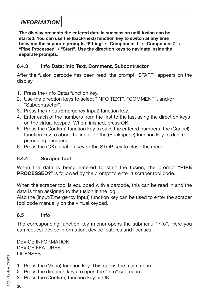## *INFORMATION*

**The display presents the entered data in succession until fusion can be started. You can use the (back/next) function key to switch at any time between the separate prompts "Fitting" / "Component 1" / "Component 2" / "Pipe Processed" / "Start". Use the direction keys to navigate inside the separate prompts.**

## **6.4.3 Info Data: Info Text, Comment, Subcontractor**

After the fusion barcode has been read, the prompt "START" appears on the display.

- 1. Press the (Info Data) function key.
- 2. Use the direction keys to select "INFO TEXT", "COMMENT", and/or "Subcontractor".
- 3. Press the (Input/Emergency Input) function key.
- 4. Enter each of the numbers from the first to the last using the direction keys on the virtual keypad. When finished, press OK.
- 5. Press the (Confirm) function key to save the entered numbers, the (Cancel) function key to abort the input, or the (Backspace) function key to delete preceding numbers
- 6. Press the (OK) function key or the STOP key to close the menu.

## **6.4.4 Scraper Tool**

When the data is being entered to start the fusion, the prompt **"PIPE PROCESSED?**" is followed by the prompt to enter a scraper tool code.

When the scraper tool is equipped with a barcode, this can be read in and the data is then assigned to the fusion in the log.

Also the (Input/Emergency Input) function key can be used to enter the scraper tool code manually on the virtual keypad.

## **6.5 Info**

The corresponding function key (menu) opens the submenu "Info". Here you can request device information, device features and licenses.

DEVICE INFORMATION DEVICE FEATURES **LICENSES** 

- 1. Press the (Menu) function key. This opens the main menu.
- 2. Press the direction keys to open the "Info" submenu.
- 3. Press the (Confirm) function key or OK.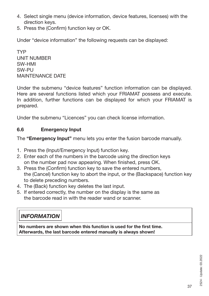- 4. Select single menu (device information, device features, licenses) with the direction keys.
- 5. Press the (Confirm) function key or OK.

Under "device information" the following requests can be displayed:

TYP UNIT NUMBER SW-HMI SW-PU MAINTENANCE DATE

Under the submenu "device features" function information can be displayed. Here are several functions listed which your FRIAMAT possess and execute. In addition, further functions can be displayed for which your FRIAMAT is prepared.

Under the submenu "Licences" you can check license information.

#### **6.6 Emergency Input**

The **"Emergency Input"** menu lets you enter the fusion barcode manually.

- 1. Press the (Input/Emergency Input) function key.
- 2. Enter each of the numbers in the barcode using the direction keys on the number pad now appearing. When finished, press OK.
- 3. Press the (Confirm) function key to save the entered numbers, the (Cancel) function key to abort the input, or the (Backspace) function key to delete preceding numbers.
- 4. The (Back) function key deletes the last input.
- 5. If entered correctly, the number on the display is the same as the barcode read in with the reader wand or scanner.

## *INFORMATION*

**No numbers are shown when this function is used for the first time. Afterwards, the last barcode entered manually is always shown!**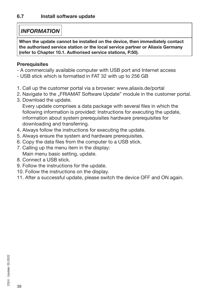## *INFORMATION*

**When the update cannot be installed on the device, then immediately contact the authorised service station or the local service partner or Aliaxis Germany (refer to Chapter 10.1. Authorised service stations, P.50).** 

## **Prerequisites**

- A commercially available computer with USB port and Internet access
- USB stick which is formatted in FAT 32 with up to 256 GB
- 1. Call up the customer portal via a browser: www.aliaxis.de/portal
- 2. Navigate to the "FRIAMAT Software Update" module in the customer portal.
- 3. Download the update.

Every update comprises a data package with several files in which the following information is provided: Instructions for executing the update, information about system prerequisites hardware prerequisites for downloading and transferring.

- 4. Always follow the instructions for executing the update.
- 5. Always ensure the system and hardware prerequisites.
- 6. Copy the data files from the computer to a USB stick.
- 7. Calling up the menu item in the display:
	- Main menu basic setting, update.
- 8. Connect a USB stick.
- 9. Follow the instructions for the update.
- 10. Follow the instructions on the display.
- 11. After a successful update, please switch the device OFF and ON again.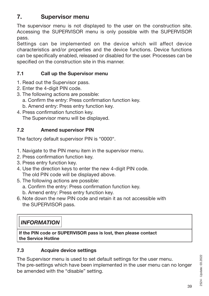## **7. Supervisor menu**

The supervisor menu is not displayed to the user on the construction site. Accessing the SUPERVISOR menu is only possible with the SUPERVISOR pass.

Settings can be implemented on the device which will affect device characteristics and/or properties and the device functions. Device functions can be specifically enabled, released or disabled for the user. Processes can be specified on the construction site in this manner.

## **7.1 Call up the Supervisor menu**

- 1. Read out the Supervisor pass.
- 2. Enter the 4-digit PIN code.
- 3. The following actions are possible:
	- a. Confirm the entry: Press confirmation function key.
	- b. Amend entry: Press entry function key.
- 4. Press confirmation function key. The Supervisor menu will be displayed.

## **7.2 Amend supervisor PIN**

The factory default supervisor PIN is "0000".

- 1. Navigate to the PIN menu item in the supervisor menu.
- 2. Press confirmation function key.
- 3. Press entry function key.
- 4. Use the direction keys to enter the new 4-digit PIN code. The old PIN code will be displayed above.
- 5. The following actions are possible:
	- a. Confirm the entry: Press confirmation function key.
	- b. Amend entry: Press entry function key.
- 6. Note down the new PIN code and retain it as not accessible with the SUPERVISOR pass.

## *INFORMATION*

**If the PIN code or SUPERVISOR pass is lost, then please contact the Service Hotline**

#### **7.3 Acquire device settings**

The Supervisor menu is used to set default settings for the user menu.

The pre-settings which have been implemented in the user menu can no longer be amended with the "disable" setting.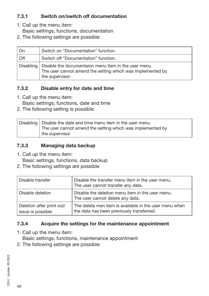## **7.3.1 Switch on/switch off documentation**

- 1. Call up the menu item:
	- Basic settings, functions, documentation
- 2. The following settings are possible:

| . On | Switch on "Documentation" function.                                                                                                               |
|------|---------------------------------------------------------------------------------------------------------------------------------------------------|
| Off  | Switch off "Documentation" function.                                                                                                              |
|      | Disabling   Disable the documentaion menu item in the user menu.<br>The user cannot amend the setting which was implemented by<br>the supervisor. |

## **7.3.2 Disable entry for date and time**

1. Call up the menu item:

Basic settings, functions, date and time

2. The following setting is possible:

| Disabling $ $ Disable the date and time menu item in the user menu.           |
|-------------------------------------------------------------------------------|
| The user cannot amend the setting which was implemented by<br>the supervisor. |
|                                                                               |

## **7.3.3 Managing data backup**

1. Call up the menu item:

Basic settings, functions, data backup

2. The following settings are possible

| Disable transfer                               | Disable the transfer menu item in the user menu.<br>The user cannot transfer any data.              |
|------------------------------------------------|-----------------------------------------------------------------------------------------------------|
| Disable deletion                               | Disable the deletion menu item in the user menu.<br>The user cannot delete any data.                |
| Deletion after print out/<br>issue is possible | The delete men item is available in the user menu when<br>the data has been previously transferred. |

## **7.3.4 Acquire the settings for the maintenance appointment**

1. Call up the menu item:

Basic settings, functions, maintenance appointment

2. The following settings are possible: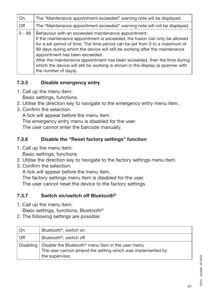| On       | The "Maintenance appointment exceeded" warning note will be displayed.                                                                                                                                                                                                                                                                                                                                                                                                                                                   |
|----------|--------------------------------------------------------------------------------------------------------------------------------------------------------------------------------------------------------------------------------------------------------------------------------------------------------------------------------------------------------------------------------------------------------------------------------------------------------------------------------------------------------------------------|
| Off      | The "Maintenance appointment exceeded" warning note will not be displayed.                                                                                                                                                                                                                                                                                                                                                                                                                                               |
| $0 - 99$ | Behaviour with an exceeded maintenance appointment:<br>If the maintenance appointment is exceeded, the fusion can only be allowed<br>for a set period of time. The time period can be set from 0 to a maximum of<br>99 days during which the device will still be working after the maintenance<br>appointment has been exceeded.<br>After the maintenance appointment has been exceeded, then the time during<br>which the device will still be working is shown in the display (a spanner with<br>the number of days). |

## **7.3.5 Disable emergency entry**

- 1. Call up the menu item:
	- Basic settings, functions
- 2. Utilise the direction key to navigate to the emergency entry menu item.
- 3. Confirm the selection.

A tick will appear before the menu item.

The emergency entry menu is disabled for the user.

The user cannot enter the barcode manually.

## **7.3.6 Disable the "Reset factory settings" function**

- 1. Call up the menu item:
	- Basic settings, functions
- 2. Utilise the direction key to navigate to the factory settings menu item.
- 3. Confirm the selection.

A tick will appear before the menu item.

The factory settings menu item is disabled for the user.

The user cannot reset the device to the factory settings.

## **7.3.7 Switch on/switch off Bluetooth®**

1. Call up the menu item:

Basic settings, functions, Bluetooth®

2. The following settings are possible:

| On  | Bluetooth <sup>®</sup> , switch on                                                                                                                                |
|-----|-------------------------------------------------------------------------------------------------------------------------------------------------------------------|
| Off | Bluetooth <sup>®</sup> , switch off                                                                                                                               |
|     | Disabling $\vert$ Disable the Bluetooth <sup>®</sup> menu item in the user menu.<br>The user cannot amend the setting which was implemented by<br>the supervisor. |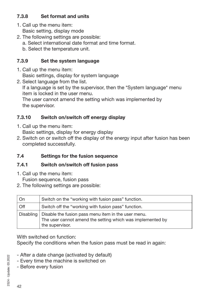## **7.3.8 Set format and units**

- 1. Call up the menu item: Basic setting, display mode
- 2. The following settings are possible:
	- a. Select international date format and time format.
	- b. Select the temperature unit.

## **7.3.9 Set the system language**

- 1. Call up the menu item: Basic settings, display for system language
- 2. Select language from the list. If a language is set by the supervisor, then the \*System language\* menu item is locked in the user menu. The user cannot amend the setting which was implemented by the supervisor.

## **7.3.10 Switch on/switch off energy display**

1. Call up the menu item:

Basic settings, display for energy display

2. Switch on or switch off the display of the energy input after fusion has been completed successfully.

## **7.4 Settings for the fusion sequence**

## **7.4.1 Switch on/switch off fusion pass**

1. Call up the menu item:

Fusion sequence, fusion pass

2. The following settings are possible:

| On          | Switch on the "working with fusion pass" function.                                                                                   |
|-------------|--------------------------------------------------------------------------------------------------------------------------------------|
| Off         | Switch off the "working with fusion pass" function.                                                                                  |
| Disabling I | Disable the fusion pass menu item in the user menu.<br>The user cannot amend the setting which was implemented by<br>the supervisor. |

With switched on function:

Specify the conditions when the fusion pass must be read in again:

- After a date change (activated by default)
- Every time the machine is switched on
- Before every fusion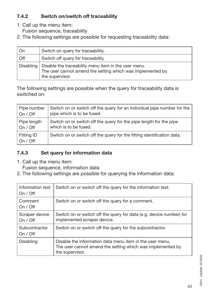## **7.4.2 Switch on/switch off traceability**

- 1. Call up the menu item:
	- Fusion sequence, traceability
- 2. The following settings are possible for requesting traceability data:

| On        | Switch on query for traceability.                                                                                                     |
|-----------|---------------------------------------------------------------------------------------------------------------------------------------|
| Off       | Switch off query for traceability.                                                                                                    |
| Disabling | Disable the traceability menu item in the user menu.<br>The user cannot amend the setting which was implemented by<br>the supervisor. |

The following settings are possible when the query for traceability data is switched on:

| Pipe number            | Switch on or switch off the query for an individual pipe number for the |
|------------------------|-------------------------------------------------------------------------|
| On / Off               | pipe which is to be fused.                                              |
| Pipe length            | Switch on or switch off the query for the pipe length for the pipe      |
| On / Off               | which is to be fused.                                                   |
| Fitting ID<br>On / Off | Switch on or switch off the query for the fitting identification data.  |

## **7.4.3 Set query for information data**

1. Call up the menu item:

Fusion sequence, information data

2. The following settings are possible for querying the information data:

| Information text<br>On / Off | Switch on or switch off the query for the information text.                                                                               |
|------------------------------|-------------------------------------------------------------------------------------------------------------------------------------------|
| Comment<br>On / Off          | Switch on or switch off the query for a comment.                                                                                          |
| Scraper device<br>On / Off   | Switch on or switch off the query for data (e.g. device number) for<br>implemented scraper device.                                        |
| Subcontractor<br>On / Off    | Switch on or switch off the query for the subcontractor.                                                                                  |
| Disabling                    | Disable the information data menu item in the user menu.<br>The user cannot amend the setting which was implemented by<br>the supervisor. |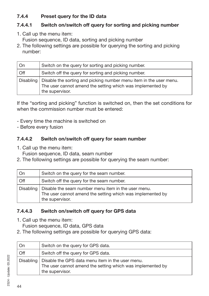## **7.4.4 Preset query for the ID data**

## **7.4.4.1 Switch on/switch off query for sorting and picking number**

- 1. Call up the menu item: Fusion sequence, ID data, sorting and picking number
- 2. The following settings are possible for querying the sorting and picking number:

| On        | Switch on the query for sorting and picking number.                                                                                                 |
|-----------|-----------------------------------------------------------------------------------------------------------------------------------------------------|
| Off       | Switch off the query for sorting and picking number.                                                                                                |
| Disabling | Disable the sorting and picking number menu item in the user menu.<br>The user cannot amend the setting which was implemented by<br>the supervisor. |

If the "sorting and picking" function is switched on, then the set conditions for when the commission number must be entered:

- Every time the machine is switched on
- Before every fusion

## **7.4.4.2 Switch on/switch off query for seam number**

1. Call up the menu item:

Fusion sequence, ID data, seam number

2. The following settings are possible for querying the seam number:

| On        | Switch on the query for the seam number.                                                                                             |
|-----------|--------------------------------------------------------------------------------------------------------------------------------------|
| Off       | Switch off the query for the seam number.                                                                                            |
| Disabling | Disable the seam number menu item in the user menu.<br>The user cannot amend the setting which was implemented by<br>the supervisor. |

## **7.4.4.3 Switch on/switch off query for GPS data**

1. Call up the menu item:

Fusion sequence, ID data, GPS data

2. The following settings are possible for querying GPS data:

| On        | Switch on the query for GPS data.                                                                                                 |
|-----------|-----------------------------------------------------------------------------------------------------------------------------------|
| Off       | Switch off the query for GPS data.                                                                                                |
| Disabling | Disable the GPS data menu item in the user menu.<br>The user cannot amend the setting which was implemented by<br>the supervisor. |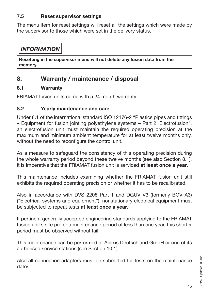## **7.5 Reset supervisor settings**

The menu item for reset settings will reset all the settings which were made by the supervisor to those which were set in the delivery status.

## *INFORMATION*

**Resetting in the supervisor menu will not delete any fusion data from the memory.**

## **8. Warranty / maintenance / disposal**

## **8.1 Warranty**

FRIAMAT fusion units come with a 24 month warranty.

## **8.2 Yearly maintenance and care**

Under 8.1 of the international standard ISO 12176-2 "Plastics pipes and fittings – Equipment for fusion jointing polyethylene systems – Part 2: Electrofusion", an electrofusion unit must maintain the required operating precision at the maximum and minimum ambient temperature for at least twelve months only, without the need to reconfigure the control unit.

As a measure to safeguard the consistency of this operating precision during the whole warranty period beyond these twelve months (see also Section 8.1), it is imperative that the FRIAMAT fusion unit is serviced **at least once a year**.

This maintenance includes examining whether the FRIAMAT fusion unit still exhibits the required operating precision or whether it has to be recalibrated.

Also in accordance with DVS 2208 Part 1 and DGUV V3 (formerly BGV A3) ("Electrical systems and equipment"), nonstationary electrical equipment must be subjected to repeat tests **at least once a year**.

If pertinent generally accepted engineering standards applying to the FRIAMAT fusion unit's site prefer a maintenance period of less than one year, this shorter period must be observed without fail.

This maintenance can be performed at Aliaxis Deutschland GmbH or one of its authorised service stations (see Section 10.1).

Also all connection adapters must be submitted for tests on the maintenance dates.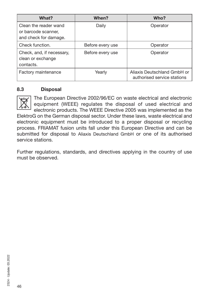| What?                                                                 | When?            | Who?                                                       |
|-----------------------------------------------------------------------|------------------|------------------------------------------------------------|
| Clean the reader wand<br>or barcode scanner,<br>and check for damage. | Daily            | Operator                                                   |
| Check function.                                                       | Before every use | Operator                                                   |
| Check, and, if necessary,<br>clean or exchange<br>contacts.           | Before every use | Operator                                                   |
| Factory maintenance                                                   | Yearly           | Aliaxis Deutschland GmbH or<br>authorised service stations |

#### **8.3 Disposal**

The European Directive 2002/96/EC on waste electrical and electronic equipment (WEEE) regulates the disposal of used electrical and electronic products. The WEEE Directive 2005 was implemented as the ElektroG on the German disposal sector. Under these laws, waste electrical and electronic equipment must be introduced to a proper disposal or recycling process. FRIAMAT fusion units fall under this European Directive and can be submitted for disposal to Aliaxis Deutschland GmbH or one of its authorised service stations.

Further regulations, standards, and directives applying in the country of use must be observed.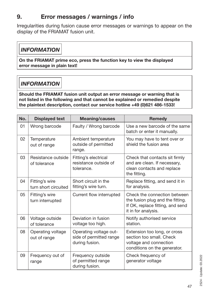## **9. Error messages / warnings / info**

Irregularities during fusion cause error messages or warnings to appear on the display of the FRIAMAT fusion unit.

## *INFORMATION*

**On the FRIAMAT prime eco, press the function key to view the displayed error message in plain text!**

## *INFORMATION*

**Should the FRIAMAT fusion unit output an error message or warning that is not listed in the following and that cannot be explained or remedied despite the plaintext description, contact our service hotline +49 (0)621 486-1533!**

| No. | <b>Displayed text</b>                  | <b>Meaning/causes</b>                                               | <b>Remedy</b>                                                                                                               |
|-----|----------------------------------------|---------------------------------------------------------------------|-----------------------------------------------------------------------------------------------------------------------------|
| 01  | Wrong barcode                          | Faulty / Wrong barcode                                              | Use a new barcode of the same<br>batch or enter it manually.                                                                |
| 02  | Temperature<br>out of range            | Ambient temperature<br>outside of permitted<br>range.               | You may have to tent over or<br>shield the fusion area                                                                      |
| 03  | Resistance outside<br>of tolerance     | Fitting's electrical<br>resistance outside of<br>tolerance.         | Check that contacts sit firmly<br>and are clean. If necessary,<br>clean contacts and replace<br>the fitting.                |
| 04  | Fitting's wire<br>turn short circuited | Short circuit in the<br>fitting's wire turn.                        | Replace fitting, and send it in<br>for analysis.                                                                            |
| 05  | Fitting's wire<br>turn interrupted     | Current flow interrupted                                            | Check the connection between<br>the fusion plug and the fitting.<br>If OK, replace fitting, and send<br>it in for analysis. |
| 06  | Voltage outside<br>of tolerance        | Deviation in fusion<br>voltage too high.                            | Notify authorised service<br>station.                                                                                       |
| 08  | Operating voltage<br>out of range      | Operating voltage out-<br>side of permitted range<br>during fusion. | Extension too long, or cross<br>section too small. Check<br>voltage and connection<br>conditions on the generator.          |
| 09  | Frequency out of<br>range              | Frequency outside<br>of permitted range<br>during fusion.           | Check frequency of<br>generator voltage                                                                                     |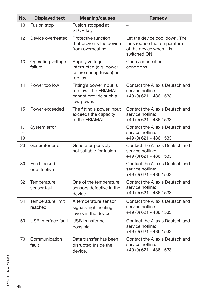| No.      | <b>Displayed text</b>        | <b>Meaning/causes</b>                                                                   | <b>Remedy</b>                                                                                            |
|----------|------------------------------|-----------------------------------------------------------------------------------------|----------------------------------------------------------------------------------------------------------|
| 10       | Fusion stop                  | Fusion stopped at<br>STOP key.                                                          | $\overline{\phantom{0}}$                                                                                 |
| 12       | Device overheated            | Protective function<br>that prevents the device<br>from overheating.                    | Let the device cool down. The<br>fans reduce the temperature<br>of the device when it is<br>switched ON. |
| 13       | Operating voltage<br>failure | Supply voltage<br>interrupted (e.g. power<br>failure during fusion) or<br>too low.      | Check connection<br>conditions.                                                                          |
| 14       | Power too low                | Fitting's power input is<br>too low. The FRIAMAT<br>cannot provide such a<br>low power. | <b>Contact the Aliaxis Deutschland</b><br>service hotline:<br>+49 (0) 621 - 486 1533                     |
| 15       | Power exceeded               | The fitting's power input<br>exceeds the capacity<br>of the FRIAMAT.                    | Contact the Aliaxis Deutschland<br>service hotline:<br>+49 (0) 621 - 486 1533                            |
| 17<br>19 | System error                 |                                                                                         | Contact the Aliaxis Deutschland<br>service hotline:<br>+49 (0) 621 - 486 1533                            |
| 23       | Generator error              | Generator possibly<br>not suitable for fusion.                                          | Contact the Aliaxis Deutschland<br>service hotline:<br>+49 (0) 621 - 486 1533                            |
| 30       | Fan blocked<br>or defective  |                                                                                         | Contact the Aliaxis Deutschland<br>service hotline:<br>+49 (0) 621 - 486 1533                            |
| 32       | Temperature<br>sensor fault  | One of the temperature<br>sensors defective in the<br>device                            | <b>Contact the Aliaxis Deutschland</b><br>service hotline:<br>+49 (0) 621 - 486 1533                     |
| 34       | Temperature limit<br>reached | A temperature sensor<br>signals high heating<br>levels in the device                    | Contact the Aliaxis Deutschland<br>service hotline:<br>+49 (0) 621 - 486 1533                            |
| 50       | USB interface fault          | USB transfer not<br>possible                                                            | Contact the Aliaxis Deutschland<br>service hotline:<br>+49 (0) 621 - 486 1533                            |
| 70       | Communication<br>fault       | Data transfer has been<br>disrupted inside the<br>device.                               | Contact the Aliaxis Deutschland<br>service hotline:<br>+49 (0) 621 - 486 1533                            |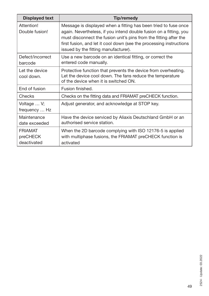| <b>Displayed text</b>                     | Tip/remedy                                                                                                                                                                                                                                                                                                                |
|-------------------------------------------|---------------------------------------------------------------------------------------------------------------------------------------------------------------------------------------------------------------------------------------------------------------------------------------------------------------------------|
| Attention!<br>Double fusion!              | Message is displayed when a fitting has been tried to fuse once<br>again. Nevertheless, if you intend double fusion on a fitting, you<br>must disconnect the fusion unit's pins from the fitting after the<br>first fusion, and let it cool down (see the processing instructions<br>issued by the fitting manufacturer). |
| Defect/incorrect<br>barcode               | Use a new barcode on an identical fitting, or correct the<br>entered code manually.                                                                                                                                                                                                                                       |
| Let the device<br>cool down.              | Protective function that prevents the device from overheating.<br>Let the device cool down. The fans reduce the temperature<br>of the device when it is switched ON.                                                                                                                                                      |
| End of fusion                             | Fusion finished.                                                                                                                                                                                                                                                                                                          |
| Checks                                    | Checks on the fitting data and FRIAMAT preCHECK function.                                                                                                                                                                                                                                                                 |
| Voltage  V;<br>frequency  Hz              | Adjust generator, and acknowledge at STOP key.                                                                                                                                                                                                                                                                            |
| Maintenance<br>date exceeded              | Have the device serviced by Aliaxis Deutschland GmbH or an<br>authorised service station.                                                                                                                                                                                                                                 |
| <b>FRIAMAT</b><br>preCHECK<br>deactivated | When the 2D barcode complying with ISO 12176-5 is applied<br>with multiphase fusions, the FRIAMAT preCHECK function is<br>activated                                                                                                                                                                                       |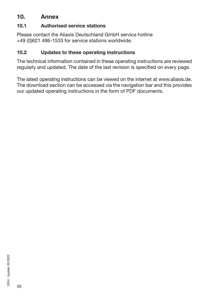## **10. Annex**

#### **10.1 Authorised service stations**

Please contact the Aliaxis Deutschland GmbH service hotline +49 (0)621 486-1533 for service stations worldwide.

#### **10.2 Updates to these operating instructions**

The technical information contained in these operating instructions are reviewed regularly and updated. The date of the last revision is specified on every page.

The latest operating instructions can be viewed on the internet at www.aliaxis.de. The download section can be accessed via the navigation bar and this provides our updated operating instructions in the form of PDF documents.